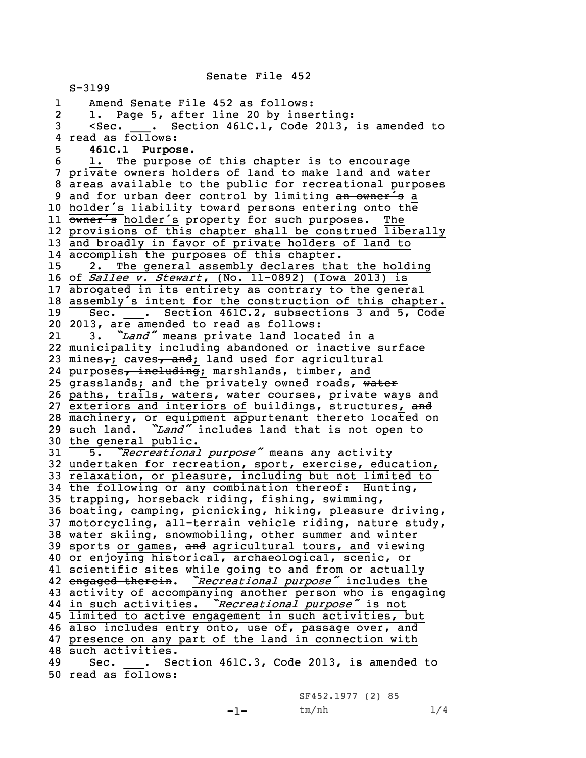S-3199 1 Amend Senate File 452 as follows: 2 1. Page 5, after line 20 by inserting: 3 <Sec. \_\_\_. Section 461C.1, Code 2013, is amended to 4 read as follows: 5 **461C.1 Purpose.** 6 1. The purpose of this chapter is to encourage 7 private owners holders of land to make land and water 8 areas available to the public for recreational purposes 9 and for urban deer control by limiting an owner's a <sup>10</sup> holder's liability toward persons entering onto the 11 owner's holder's property for such purposes. The 12 provisions of this chapter shall be construed liberally 13 and broadly in favor of private holders of land to 14 accomplish the purposes of this chapter. 15 2. The general assembly declares that the holding 16 of *Sallee v. Stewart*, (No. 11-0892) (Iowa 2013) is 17 abrogated in its entirety as contrary to the general <sup>18</sup> assembly's intent for the construction of this chapter. 19 Sec. \_\_\_. Section 461C.2, subsections 3 and 5, Code 20 2013, are amended to read as follows: 21 3. *"Land"* means private land located in <sup>a</sup> 22 municipality including abandoned or inactive surface 23 mines<sub>7</sub>; caves<sub>7</sub> and; land used for agricultural 24 purposes<del>, including</del>; marshlands, timber, and 25 grasslands; and the privately owned roads, water 26 paths, trails, waters, water courses, private ways and 27 exteriors and interiors of buildings, structures, and 28 machinery, or equipment appurtenant thereto located on <sup>29</sup> such land. *"Land"* includes land that is not open to 30 the general public. <sup>31</sup> 5. *"Recreational purpose"* means any activity 32 undertaken for recreation, sport, exercise, education, 33 relaxation, or pleasure, including but not limited to 34 the following or any combination thereof: Hunting, 35 trapping, horseback riding, fishing, swimming, 36 boating, camping, picnicking, hiking, pleasure driving, 37 motorcycling, all-terrain vehicle riding, nature study, 38 water skiing, snowmobiling, other summer and winter 39 sports or games, and agricultural tours, and viewing 40 or enjoying historical, archaeological, scenic, or 41 scientific sites while going to and from or actually 42 engaged therein. *"Recreational purpose"* includes the 43 activity of accompanying another person who is engaging 44 in such activities. *"Recreational purpose"* is not 45 limited to active engagement in such activities, but 46 also includes entry onto, use of, passage over, and 47 presence on any part of the land in connection with 48 such activities. 49 Sec. . Section 461C.3, Code 2013, is amended to 50 read as follows:

Senate File 452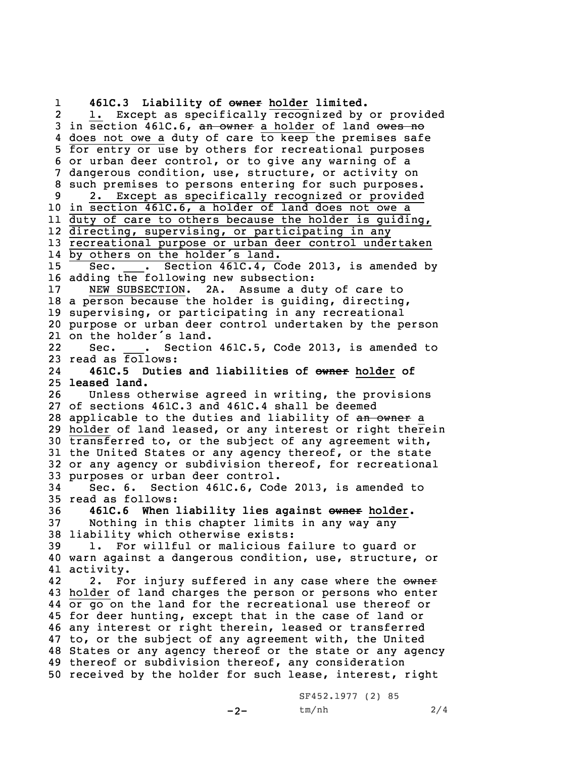1 **461C.3 Liability of owner holder limited.** 21. Except as specifically recognized by or provided 3 in section 461C.6, an owner a holder of land owes no does not owe <sup>a</sup> duty of care to keep the premises safe for entry or use by others for recreational purposes or urban deer control, or to give any warning of <sup>a</sup> dangerous condition, use, structure, or activity on such premises to persons entering for such purposes. 2. Except as specifically recognized or provided in section 461C.6, <sup>a</sup> holder of land does not owe <sup>a</sup> duty of care to others because the holder is guiding, directing, supervising, or participating in any recreational purpose or urban deer control undertaken by others on the holder's land. Sec. \_\_\_. Section 461C.4, Code 2013, is amended by adding the following new subsection: NEW SUBSECTION. 2A. Assume <sup>a</sup> duty of care to <sup>a</sup> person because the holder is guiding, directing, supervising, or participating in any recreational purpose or urban deer control undertaken by the person on the holder's land. 22Sec. . Section 461C.5, Code 2013, is amended to 23 read as  $\overline{\text{follows}}$ : 24 **461C.5 Duties and liabilities of owner holder of leased land.** Unless otherwise agreed in writing, the provisions of sections 461C.3 and 461C.4 shall be deemed 28 applicable to the duties and liability of an owner a holder of land leased, or any interest or right therein transferred to, or the subject of any agreement with, the United States or any agency thereof, or the state or any agency or subdivision thereof, for recreational purposes or urban deer control. Sec. 6. Section 461C.6, Code 2013, is amended to read as follows: **461C.6 When liability lies against owner holder.** Nothing in this chapter limits in any way any liability which otherwise exists: 1. For willful or malicious failure to guard or warn against <sup>a</sup> dangerous condition, use, structure, or activity. 422. For injury suffered in any case where the owner holder of land charges the person or persons who enter or go on the land for the recreational use thereof or for deer hunting, except that in the case of land or any interest or right therein, leased or transferred to, or the subject of any agreement with, the United States or any agency thereof or the state or any agency thereof or subdivision thereof, any consideration received by the holder for such lease, interest, right

-2-

SF452.1977 (2) 85 tm/nh 2/4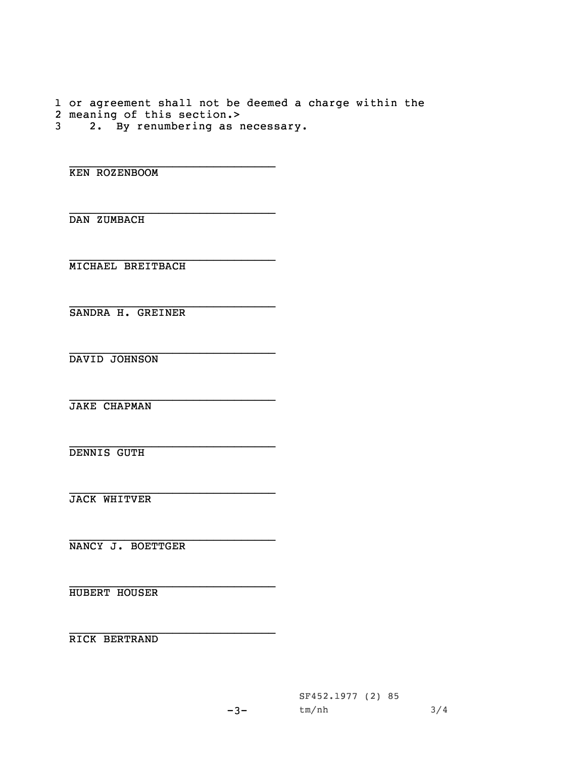1 or agreement shall not be deemed <sup>a</sup> charge within the 2 meaning of this section.> 3 2. By renumbering as necessary.

\_\_\_\_\_\_\_\_\_\_\_\_\_\_\_\_\_\_\_\_\_\_\_\_\_\_\_\_\_\_ KEN ROZENBOOM

DAN ZUMBACH

\_\_\_\_\_\_\_\_\_\_\_\_\_\_\_\_\_\_\_\_\_\_\_\_\_\_\_\_\_\_ MICHAEL BREITBACH

\_\_\_\_\_\_\_\_\_\_\_\_\_\_\_\_\_\_\_\_\_\_\_\_\_\_\_\_\_\_ SANDRA H. GREINER

\_\_\_\_\_\_\_\_\_\_\_\_\_\_\_\_\_\_\_\_\_\_\_\_\_\_\_\_\_\_ DAVID JOHNSON

\_\_\_\_\_\_\_\_\_\_\_\_\_\_\_\_\_\_\_\_\_\_\_\_\_\_\_\_\_\_ JAKE CHAPMAN

\_\_\_\_\_\_\_\_\_\_\_\_\_\_\_\_\_\_\_\_\_\_\_\_\_\_\_\_\_\_ DENNIS GUTH

\_\_\_\_\_\_\_\_\_\_\_\_\_\_\_\_\_\_\_\_\_\_\_\_\_\_\_\_\_\_ JACK WHITVER

\_\_\_\_\_\_\_\_\_\_\_\_\_\_\_\_\_\_\_\_\_\_\_\_\_\_\_\_\_\_ NANCY J. BOETTGER

\_\_\_\_\_\_\_\_\_\_\_\_\_\_\_\_\_\_\_\_\_\_\_\_\_\_\_\_\_\_ HUBERT HOUSER

\_\_\_\_\_\_\_\_\_\_\_\_\_\_\_\_\_\_\_\_\_\_\_\_\_\_\_\_\_\_ RICK BERTRAND

-3-